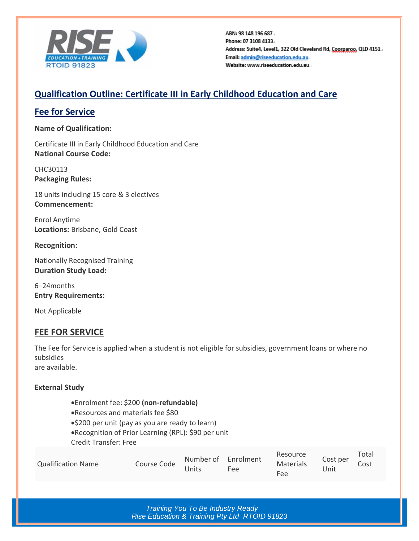

ABN: 98 148 196 687. Phone: 07 3108 4133. Address: Suite4, Level1, 322 Old Cleveland Rd, Coorparoo, QLD 4151. Email: admin@riseeducation.edu.au. Website: www.riseeducation.edu.au.

## **Qualification Outline: Certificate III in Early Childhood Education and Care**

### **Fee for Service**

**Name of Qualification:**

Certificate III in Early Childhood Education and Care **National Course Code:**

CHC30113 **Packaging Rules:**

18 units including 15 core & 3 electives **Commencement:**

Enrol Anytime **Locations:** Brisbane, Gold Coast

**Recognition**:

Nationally Recognised Training **Duration Study Load:**

6–24months **Entry Requirements:**

Not Applicable

## **FEE FOR SERVICE**

The Fee for Service is applied when a student is not eligible for subsidies, government loans or where no subsidies

are available.

### **External Study**

- •Enrolment fee: \$200 **(non-refundable)**
- •Resources and materials fee \$80
- •\$200 per unit (pay as you are ready to learn)
- •Recognition of Prior Learning (RPL): \$90 per unit

Credit Transfer: Free

|                           |             | Number of Enrolment |     | Resource  | Cost per | Total |
|---------------------------|-------------|---------------------|-----|-----------|----------|-------|
| <b>Qualification Name</b> | Course Code |                     |     | Materials |          | Cost  |
|                           |             | 'Jnits              | Fee | Fee       | Jnit     |       |

*Training You To Be Industry Ready Rise Education & Training Pty Ltd RTOID 91823*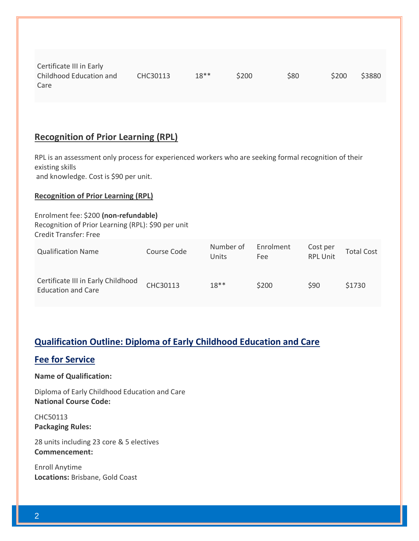| Certificate III in Early |          |        |       |      |       |        |
|--------------------------|----------|--------|-------|------|-------|--------|
| Childhood Education and  | CHC30113 | $18**$ | \$200 | \$80 | \$200 | \$3880 |
| Care                     |          |        |       |      |       |        |

# **Recognition of Prior Learning (RPL)**

RPL is an assessment only process for experienced workers who are seeking formal recognition of their existing skills and knowledge. Cost is \$90 per unit.

**Recognition of Prior Learning (RPL)**

| Enrolment fee: \$200 (non-refundable)<br>Recognition of Prior Learning (RPL): \$90 per unit<br><b>Credit Transfer: Free</b> |             |                    |                         |                             |                   |
|-----------------------------------------------------------------------------------------------------------------------------|-------------|--------------------|-------------------------|-----------------------------|-------------------|
| <b>Qualification Name</b>                                                                                                   | Course Code | Number of<br>Units | Enrolment<br><b>Fee</b> | Cost per<br><b>RPL Unit</b> | <b>Total Cost</b> |
| Certificate III in Early Childhood<br><b>Education and Care</b>                                                             | CHC30113    | $18**$             | \$200                   | \$90                        | \$1730            |

### **Qualification Outline: Diploma of Early Childhood Education and Care**

### **Fee for Service**

**Name of Qualification:**

Diploma of Early Childhood Education and Care **National Course Code:**

CHC50113 **Packaging Rules:**

28 units including 23 core & 5 electives **Commencement:**

Enroll Anytime **Locations:** Brisbane, Gold Coast